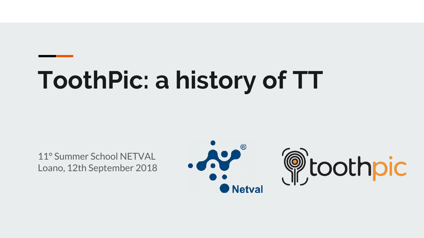# **ToothPic: a history of TT**

11° Summer School NETVAL Loano, 12th September 2018



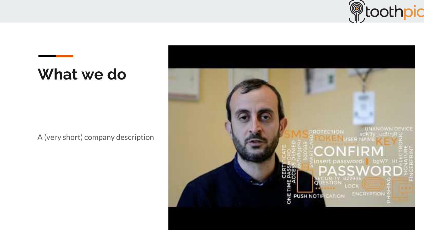

#### **What we do**

A (very short) company description

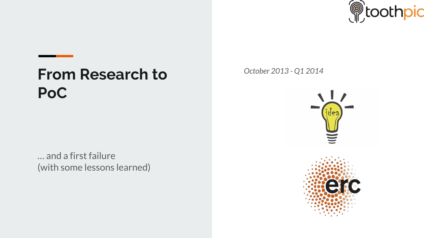

#### **From Research to PoC**

… and a first failure (with some lessons learned) *October 2013 - Q1 2014*

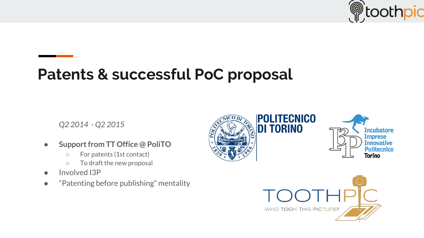

### **Patents & successful PoC proposal**

*Q2 2014 - Q2 2015*

- **● Support from TT Office @ PoliTO**
	- For patents (1st contact)
	- To draft the new proposal
- Involved I3P
- "Patenting before publishing" mentality



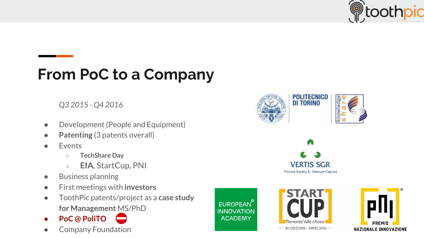

### **From PoC to a Company**

*Q3 2015 - Q4 2016*

- Development (People and Equipment)
- **Patenting** (3 patents overall)
- **Events** 
	- **TechShare Day**
	- **EIA**, StartCup, PNI
- Business planning
- First meetings with **investors**
- ToothPic patents/project as a **case study for Management** MS/PhD
- **● PoC @ PoliTO**
- **Company Foundation**

EUROPEAN<sup>Y</sup> **INNOVATION ACADEMY** 





**DI TORINO** 

**VERTIS SGR** Private Equity & Venture Capital

**POLITECNICO**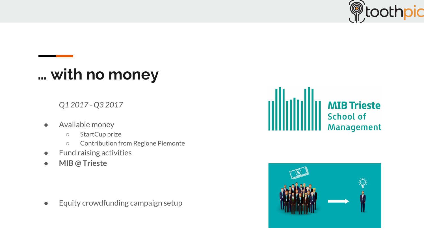

## **… with no money**

*Q1 2017 - Q3 2017*

- Available money
	- StartCup prize
	- Contribution from Regione Piemonte
- **Fund raising activities**
- **● MIB @ Trieste**

● Equity crowdfunding campaign setup



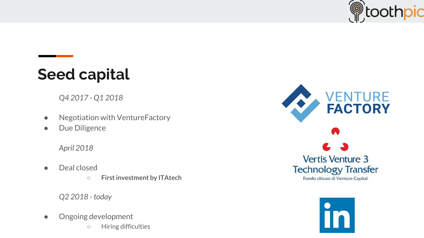

# **Seed capital**

*Q4 2017 - Q1 2018*

- Negotiation with VentureFactory
- Due Diligence

*April 2018*

- Deal closed
	- **○ First investment by ITAtech**

*Q2 2018 - today*

- Ongoing development
	- Hiring difficulties



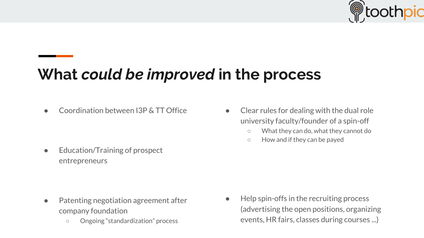

# **What** *could be improved* **in the process**

Coordination between I3P & TT Office

Education/Training of prospect entrepreneurs

- Patenting negotiation agreement after company foundation
	- Ongoing "standardization" process
- Clear rules for dealing with the dual role university faculty/founder of a spin-off
	- What they can do, what they cannot do
	- How and if they can be payed

● Help spin-offs in the recruiting process (advertising the open positions, organizing events, HR fairs, classes during courses ...)